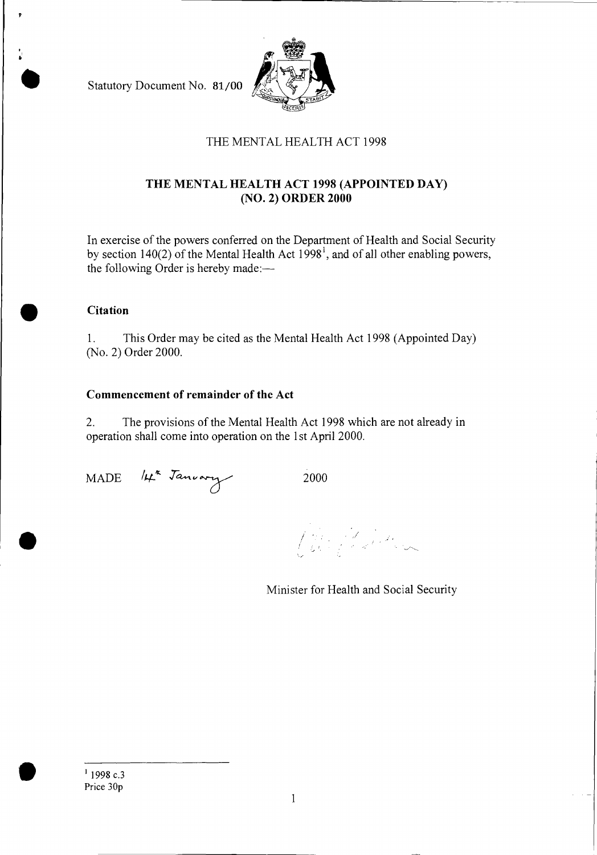Statutory Document No. 81/00



## THE MENTAL HEALTH ACT 1998

### **THE MENTAL HEALTH ACT 1998 (APPOINTED DAY) (NO. 2) ORDER 2000**

In exercise of the powers conferred on the Department of Health and Social Security by section  $140(2)$  of the Mental Health Act  $1998^1$ , and of all other enabling powers, the following Order is hereby made:—

# • **Citation**

1. This Order may be cited as the Mental Health Act 1998 (Appointed Day) (No. 2) Order 2000.

#### **Commencement of remainder of the Act**

2. The provisions of the Mental Health Act 1998 which are not already in operation shall come into operation on the 1st April 2000.

MADE *11-4-'* 2000

Part of John

Minister for Health and Social Security

<sup>1</sup> 1998 c.3<br>Price 30p Price 30p